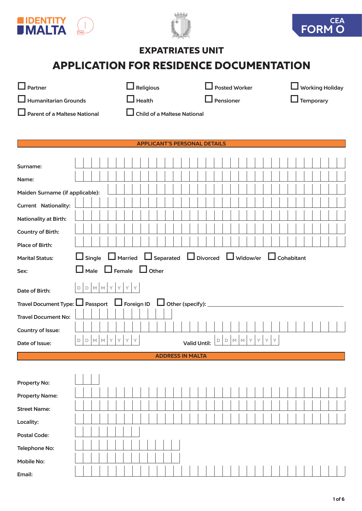





# EXPATRIATES UNIT

# APPLICATION FOR RESIDENCE DOCUMENTATION

| H<br>Partner                                    |                                                | $\Box$ Religious                    | $\Box$ Posted Worker                             | $\Box$ Working Holiday |
|-------------------------------------------------|------------------------------------------------|-------------------------------------|--------------------------------------------------|------------------------|
| <b>Humanitarian Grounds</b>                     |                                                | $\Box$ Health                       | Pensioner                                        | $\Box$ Temporary       |
| <b>Parent of a Maltese National</b>             |                                                | <b>Child of a Maltese National</b>  |                                                  |                        |
|                                                 |                                                |                                     |                                                  |                        |
|                                                 |                                                | <b>APPLICANT'S PERSONAL DETAILS</b> |                                                  |                        |
|                                                 |                                                |                                     |                                                  |                        |
| Surname:                                        |                                                |                                     |                                                  |                        |
| Name:                                           |                                                |                                     |                                                  |                        |
| Maiden Surname (if applicable):                 |                                                |                                     |                                                  |                        |
| <b>Current Nationality:</b>                     |                                                |                                     |                                                  |                        |
| <b>Nationality at Birth:</b>                    |                                                |                                     |                                                  |                        |
| Country of Birth:                               |                                                |                                     |                                                  |                        |
| <b>Place of Birth:</b>                          |                                                |                                     |                                                  |                        |
| <b>Marital Status:</b>                          | Single $\Box$ Married                          |                                     | $\Box$ Separated $\Box$ Divorced $\Box$ Widow/er | $\Box$ Cohabitant      |
| Sex:                                            | Male<br>LΙ                                     | $\Box$ Female $\Box$ Other          |                                                  |                        |
| Date of Birth:                                  | D M M Y<br>$\mathsf{Y}$<br>D                   | Y<br>Y.                             |                                                  |                        |
| Travel Document Type: LJ Passport LJ Foreign ID |                                                | $\Box$ Other (specify): $\Box$      |                                                  |                        |
| <b>Travel Document No:</b>                      |                                                |                                     |                                                  |                        |
| Country of Issue:                               |                                                |                                     |                                                  |                        |
| Date of Issue:                                  | $\mathbb M$<br>$\mathbb M$<br>Y<br>D<br>Υ<br>D | Y<br>Y<br><b>Valid Until:</b>       | $\mathbb D$<br>MM<br>Υ<br>Y<br>Y<br>Y<br>D       |                        |
|                                                 |                                                | <b>ADDRESS IN MALTA</b>             |                                                  |                        |
|                                                 |                                                |                                     |                                                  |                        |
| <b>Property No:</b>                             |                                                |                                     |                                                  |                        |
| <b>Property Name:</b>                           |                                                |                                     |                                                  |                        |
| <b>Street Name:</b>                             |                                                |                                     |                                                  |                        |
| Locality:                                       |                                                |                                     |                                                  |                        |
| <b>Postal Code:</b>                             |                                                |                                     |                                                  |                        |
| <b>Telephone No:</b>                            |                                                |                                     |                                                  |                        |
| <b>Mobile No:</b>                               |                                                |                                     |                                                  |                        |
| Email:                                          |                                                |                                     |                                                  |                        |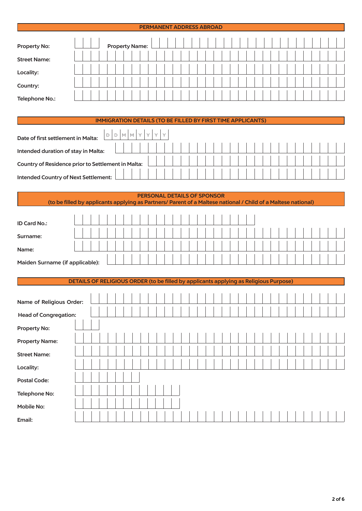### PERMANENT ADDRESS ABROAD

| <b>Property No:</b> |  |  |  | <b>Property Name:</b> |  |  |  |  |  |  |  |  |  |  |  |  |  |
|---------------------|--|--|--|-----------------------|--|--|--|--|--|--|--|--|--|--|--|--|--|
| <b>Street Name:</b> |  |  |  |                       |  |  |  |  |  |  |  |  |  |  |  |  |  |
| Locality:           |  |  |  |                       |  |  |  |  |  |  |  |  |  |  |  |  |  |
| Country:            |  |  |  |                       |  |  |  |  |  |  |  |  |  |  |  |  |  |
| Telephone No.:      |  |  |  |                       |  |  |  |  |  |  |  |  |  |  |  |  |  |

## IMMIGRATION DETAILS (TO BE FILLED BY FIRST TIME APPLICANTS)

| Date of first settlement in Malta:                 | M | $.1M+$ |  |  |  |  |  |  |  |  |  |  |  |
|----------------------------------------------------|---|--------|--|--|--|--|--|--|--|--|--|--|--|
| Intended duration of stay in Malta:                |   |        |  |  |  |  |  |  |  |  |  |  |  |
| Country of Residence prior to Settlement in Malta: |   |        |  |  |  |  |  |  |  |  |  |  |  |
|                                                    |   |        |  |  |  |  |  |  |  |  |  |  |  |
| Intended Country of Next Settlement:               |   |        |  |  |  |  |  |  |  |  |  |  |  |

#### PERSONAL DETAILS OF SPONSOR (to be filled by applicants applying as Partners/ Parent of a Maltese national / Child of a Maltese national)

| ID Card No.:                    |  |  |  |  |  |  |  |  |  |  |  |  |  |  |  |  |  |
|---------------------------------|--|--|--|--|--|--|--|--|--|--|--|--|--|--|--|--|--|
| Surname:                        |  |  |  |  |  |  |  |  |  |  |  |  |  |  |  |  |  |
| Name:                           |  |  |  |  |  |  |  |  |  |  |  |  |  |  |  |  |  |
| Maiden Surname (if applicable): |  |  |  |  |  |  |  |  |  |  |  |  |  |  |  |  |  |

DETAILS OF RELIGIOUS ORDER (to be filled by applicants applying as Religious Purpose)

| Name of Religious Order:     |  |  |  |  |  |  |  |  |  |  |  |  |  |  |  |  |  |
|------------------------------|--|--|--|--|--|--|--|--|--|--|--|--|--|--|--|--|--|
| <b>Head of Congregation:</b> |  |  |  |  |  |  |  |  |  |  |  |  |  |  |  |  |  |
| Property No:                 |  |  |  |  |  |  |  |  |  |  |  |  |  |  |  |  |  |
| <b>Property Name:</b>        |  |  |  |  |  |  |  |  |  |  |  |  |  |  |  |  |  |
| <b>Street Name:</b>          |  |  |  |  |  |  |  |  |  |  |  |  |  |  |  |  |  |
| Locality:                    |  |  |  |  |  |  |  |  |  |  |  |  |  |  |  |  |  |
| <b>Postal Code:</b>          |  |  |  |  |  |  |  |  |  |  |  |  |  |  |  |  |  |
| Telephone No:                |  |  |  |  |  |  |  |  |  |  |  |  |  |  |  |  |  |
| Mobile No:                   |  |  |  |  |  |  |  |  |  |  |  |  |  |  |  |  |  |
| Email:                       |  |  |  |  |  |  |  |  |  |  |  |  |  |  |  |  |  |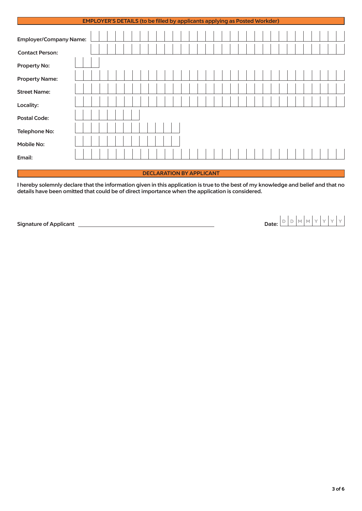|                               | <b>EMPLOYER'S DETAILS (to be filled by applicants applying as Posted Workder)</b> |  |  |                                 |  |  |  |  |  |  |  |  |  |  |  |  |
|-------------------------------|-----------------------------------------------------------------------------------|--|--|---------------------------------|--|--|--|--|--|--|--|--|--|--|--|--|
| <b>Employer/Company Name:</b> |                                                                                   |  |  |                                 |  |  |  |  |  |  |  |  |  |  |  |  |
| <b>Contact Person:</b>        |                                                                                   |  |  |                                 |  |  |  |  |  |  |  |  |  |  |  |  |
| Property No:                  |                                                                                   |  |  |                                 |  |  |  |  |  |  |  |  |  |  |  |  |
| <b>Property Name:</b>         |                                                                                   |  |  |                                 |  |  |  |  |  |  |  |  |  |  |  |  |
| <b>Street Name:</b>           |                                                                                   |  |  |                                 |  |  |  |  |  |  |  |  |  |  |  |  |
| Locality:                     |                                                                                   |  |  |                                 |  |  |  |  |  |  |  |  |  |  |  |  |
| <b>Postal Code:</b>           |                                                                                   |  |  |                                 |  |  |  |  |  |  |  |  |  |  |  |  |
| <b>Telephone No:</b>          |                                                                                   |  |  |                                 |  |  |  |  |  |  |  |  |  |  |  |  |
| <b>Mobile No:</b>             |                                                                                   |  |  |                                 |  |  |  |  |  |  |  |  |  |  |  |  |
| Email:                        |                                                                                   |  |  |                                 |  |  |  |  |  |  |  |  |  |  |  |  |
|                               |                                                                                   |  |  | <b>DECLARATION BY APPLICANT</b> |  |  |  |  |  |  |  |  |  |  |  |  |

I hereby solemnly declare that the information given in this application is true to the best of my knowledge and belief and that no details have been omitted that could be of direct importance when the application is considered.

Signature of Applicant Date: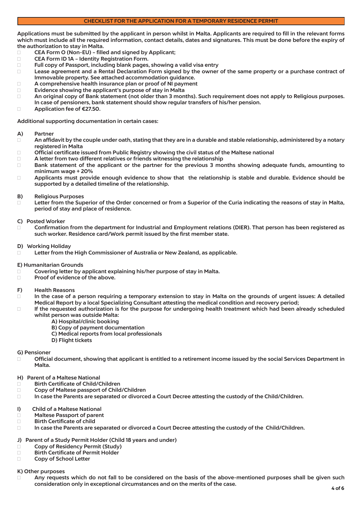Applications must be submitted by the applicant in person whilst in Malta. Applicants are required to fill in the relevant forms which must include all the required information, contact details, dates and signatures. This must be done before the expiry of the authorization to stay in Malta.

- □ CEA Form O (Non-EU) filled and signed by Applicant;
- □ CEA Form ID 1A Identity Registration Form.<br>□ Full copy of Passport, including blank pages.
- $\square$  Full copy of Passport, including blank pages, showing a valid visa entry<br> $\square$  Lease agreement and a Rental Declaration Form signed by the owner
- Lease agreement and a Rental Declaration Form signed by the owner of the same property or a purchase contract of Immovable property. See attached accommodation guidance.
- $\Box$  A comprehensive health insurance plan or proof of NI payment
- □ Evidence showing the applicant's purpose of stay in Malta<br>□ An original copy of Bank statement (not older than 3 mon
- An original copy of Bank statement (not older than 3 months). Such requirement does not apply to Religious purposes. In case of pensioners, bank statement should show regular transfers of his/her pension.
- □ Application fee of €27.50.

Additional supporting documentation in certain cases:

#### A) Partner

- $\Box$  An affidavit by the couple under oath, stating that they are in a durable and stable relationship, administered by a notary registered in Malta
- □ Official certificate issued from Public Registry showing the civil status of the Maltese national  $□$  A letter from two different relatives or friends witnessing the relationship
- $\Box$  A letter from two different relatives or friends witnessing the relationship  $\Box$  Bank statement of the applicant or the partner for the previous 3 mo
- Bank statement of the applicant or the partner for the previous 3 months showing adequate funds, amounting to minimum wage + 20%
- $\Box$  Applicants must provide enough evidence to show that the relationship is stable and durable. Evidence should be supported by a detailed timeline of the relationship.

#### B) Religious Purposes

- □ Letter from the Superior of the Order concerned or from a Superior of the Curia indicating the reasons of stay in Malta, period of stay and place of residence.
- C) Posted Worker
- Confirmation from the department for Industrial and Employment relations (DIER). That person has been registered as such worker. Residence card/Work permit issued by the first member state.
- D) Working Holiday
- Letter from the High Commissioner of Australia or New Zealand, as applicable.
- E) Humanitarian Grounds
- □ Covering letter by applicant explaining his/her purpose of stay in Malta.<br>□ Proof of evidence of the above.
- Proof of evidence of the above.

#### F) Health Reasons

- $\Box$  In the case of a person requiring a temporary extension to stay in Malta on the grounds of urgent issues: A detailed Medical Report by a local Specializing Consultant attesting the medical condition and recovery period;
- $\Box$  If the requested authorization is for the purpose for undergoing health treatment which had been already scheduled whilst person was outside Malta:
	- A) Hospital/clinic booking
	- B) Copy of payment documentation
	- C) Medical reports from local professionals
	- D) Flight tickets

#### G) Pensioner

- □ Official document, showing that applicant is entitled to a retirement income issued by the social Services Department in Malta.
- H) Parent of a Maltese National
- □ Birth Certificate of Child/Children
- □ Copy of Maltese passport of Child/Children
- □ In case the Parents are separated or divorced a Court Decree attesting the custody of the Child/Children.
- I) Child of a Maltese National
- □ Maltese Passport of parent<br>□ Birth Certificate of child
- □ Birth Certificate of child<br>□ In case the Parents are s
- In case the Parents are separated or divorced a Court Decree attesting the custody of the Child/Children.

#### J) Parent of a Study Permit Holder (Child 18 years and under)

- □ Copy of Residency Permit (Study)
- □ Birth Certificate of Permit Holder
- □ Copy of School Letter

#### K) Other purposes

□ Any requests which do not fall to be considered on the basis of the above-mentioned purposes shall be given such consideration only in exceptional circumstances and on the merits of the case. 4 of 6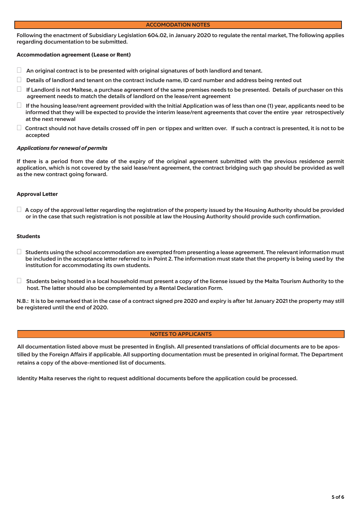#### ACCOMODATION NOTES

Following the enactment of Subsidiary Legislation 604.02, in January 2020 to regulate the rental market, The following applies regarding documentation to be submitted.

#### Accommodation agreement (Lease or Rent)

- $\Box$  An original contract is to be presented with original signatures of both landlord and tenant.
- $\Box$  Details of landlord and tenant on the contract include name, ID card number and address being rented out
- $\Box$  If Landlord is not Maltese, a purchase agreement of the same premises needs to be presented. Details of purchaser on this agreement needs to match the details of landlord on the lease/rent agreement
- $\Box$  If the housing lease/rent agreement provided with the Initial Application was of less than one (1) year, applicants need to be informed that they will be expected to provide the interim lease/rent agreements that cover the entire year retrospectively at the next renewal
- $\Box$  Contract should not have details crossed off in pen or tippex and written over. If such a contract is presented, it is not to be accepted

#### *Applications for renewal of permits*

If there is a period from the date of the expiry of the original agreement submitted with the previous residence permit application, which is not covered by the said lease/rent agreement, the contract bridging such gap should be provided as well as the new contract going forward.

#### Approval Letter

 $\Box$  A copy of the approval letter regarding the registration of the property issued by the Housing Authority should be provided or in the case that such registration is not possible at law the Housing Authority should provide such confirmation.

#### Students

- $\Box$  Students using the school accommodation are exempted from presenting a lease agreement. The relevant information must be included in the acceptance letter referred to in Point 2. The information must state that the property is being used by the institution for accommodating its own students.
- $\Box$  Students being hosted in a local household must present a copy of the license issued by the Malta Tourism Authority to the host. The latter should also be complemented by a Rental Declaration Form.

N.B.: It is to be remarked that in the case of a contract signed pre 2020 and expiry is after 1st January 2021 the property may still be registered until the end of 2020.

#### NOTES TO APPLICANTS

All documentation listed above must be presented in English. All presented translations of official documents are to be apostilled by the Foreign Affairs if applicable. All supporting documentation must be presented in original format. The Department retains a copy of the above-mentioned list of documents.

Identity Malta reserves the right to request additional documents before the application could be processed.